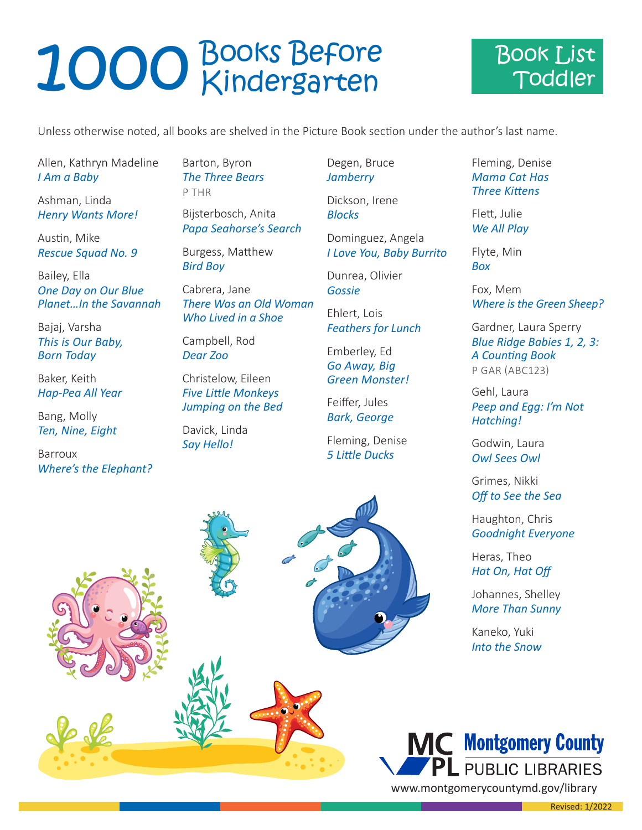## 1000 Books Before



Unless otherwise noted, all books are shelved in the Picture Book section under the author's last name.

Allen, Kathryn Madeline *I Am a Baby*

Ashman, Linda *Henry Wants More!*

Austin, Mike *Rescue Squad No. 9*

Bailey, Ella *One Day on Our Blue Planet…In the Savannah*

Bajaj, Varsha *This is Our Baby, Born Today*

Baker, Keith *Hap-Pea All Year*

Bang, Molly *Ten, Nine, Eight*

Barroux *Where's the Elephant?*  Barton, Byron *The Three Bears* P THR

Bijsterbosch, Anita *Papa Seahorse's Search*

Burgess, Matthew *Bird Boy*

Cabrera, Jane *There Was an Old Woman Who Lived in a Shoe*

Campbell, Rod *Dear Zoo*

Christelow, Eileen *Five Little Monkeys Jumping on the Bed*

Davick, Linda *Say Hello!*

Degen, Bruce *Jamberry*

> Dickson, Irene *Blocks*

Dominguez, Angela *I Love You, Baby Burrito*

Dunrea, Olivier *Gossie*

Ehlert, Lois *Feathers for Lunch*

Emberley, Ed *Go Away, Big Green Monster!*

Feiffer, Jules *Bark, George*

Fleming, Denise *5 Little Ducks*

Fleming, Denise *Mama Cat Has Three Kittens*

Flett, Julie *We All Play*

Flyte, Min *Box*

Fox, Mem *Where is the Green Sheep?*

Gardner, Laura Sperry *Blue Ridge Babies 1, 2, 3: A Counting Book* P GAR (ABC123)

Gehl, Laura *Peep and Egg: I'm Not Hatching!*

Godwin, Laura *Owl Sees Owl*

Grimes, Nikki *Off to See the Sea*

Haughton, Chris *Goodnight Everyone*

Heras, Theo *Hat On, Hat Off*

Johannes, Shelley *More Than Sunny*

Kaneko, Yuki *Into the Snow*



a sa Ta